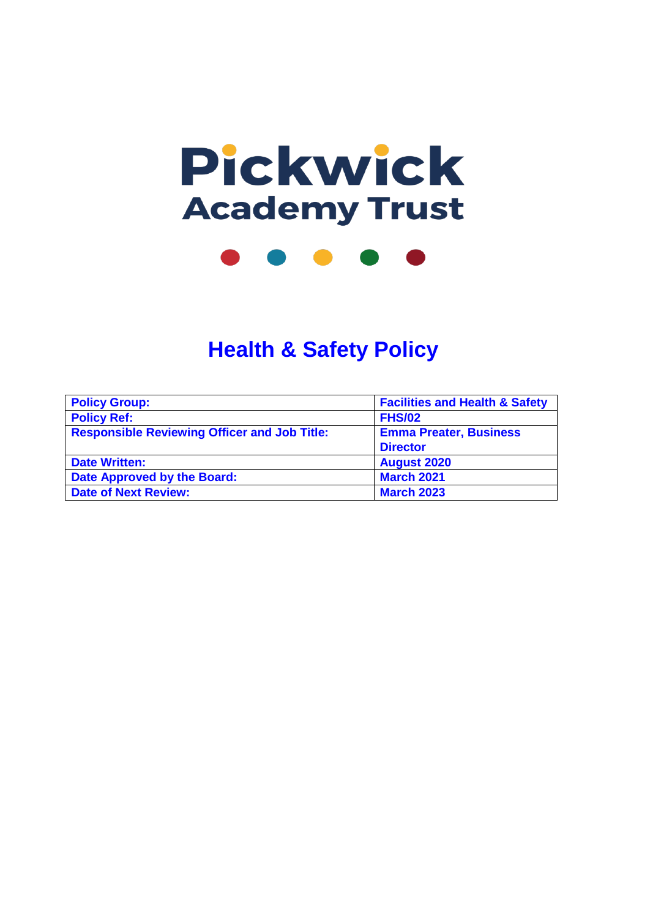



# **Health & Safety Policy**

| <b>Policy Group:</b>                                | <b>Facilities and Health &amp; Safety</b> |
|-----------------------------------------------------|-------------------------------------------|
| <b>Policy Ref:</b>                                  | <b>FHS/02</b>                             |
| <b>Responsible Reviewing Officer and Job Title:</b> | <b>Emma Preater, Business</b>             |
|                                                     | <b>Director</b>                           |
| <b>Date Written:</b>                                | <b>August 2020</b>                        |
| Date Approved by the Board:                         | <b>March 2021</b>                         |
| <b>Date of Next Review:</b>                         | <b>March 2023</b>                         |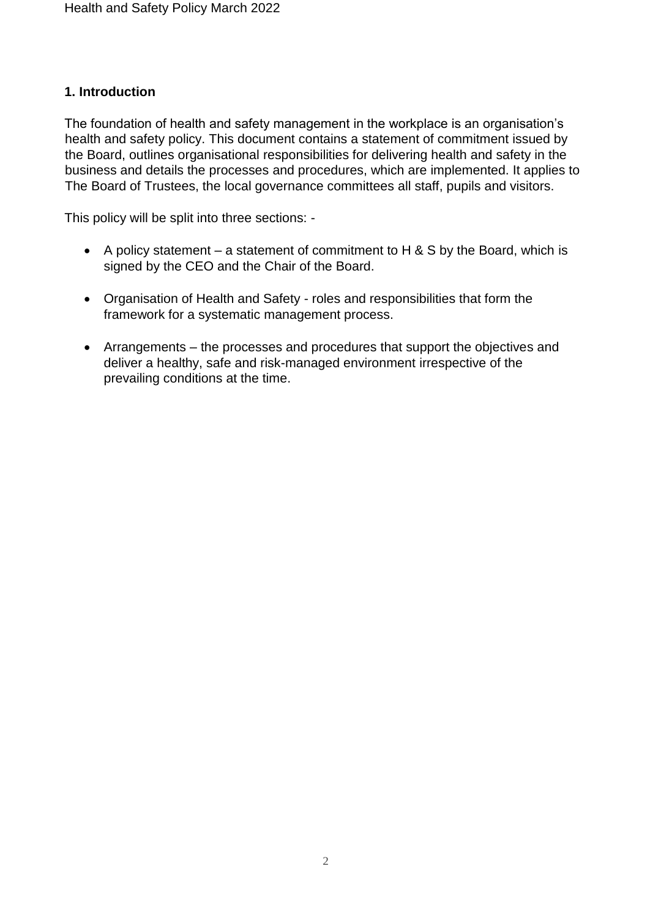#### **1. Introduction**

The foundation of health and safety management in the workplace is an organisation's health and safety policy. This document contains a statement of commitment issued by the Board, outlines organisational responsibilities for delivering health and safety in the business and details the processes and procedures, which are implemented. It applies to The Board of Trustees, the local governance committees all staff, pupils and visitors.

This policy will be split into three sections: -

- A policy statement a statement of commitment to H  $\&$  S by the Board, which is signed by the CEO and the Chair of the Board.
- Organisation of Health and Safety roles and responsibilities that form the framework for a systematic management process.
- Arrangements the processes and procedures that support the objectives and deliver a healthy, safe and risk-managed environment irrespective of the prevailing conditions at the time.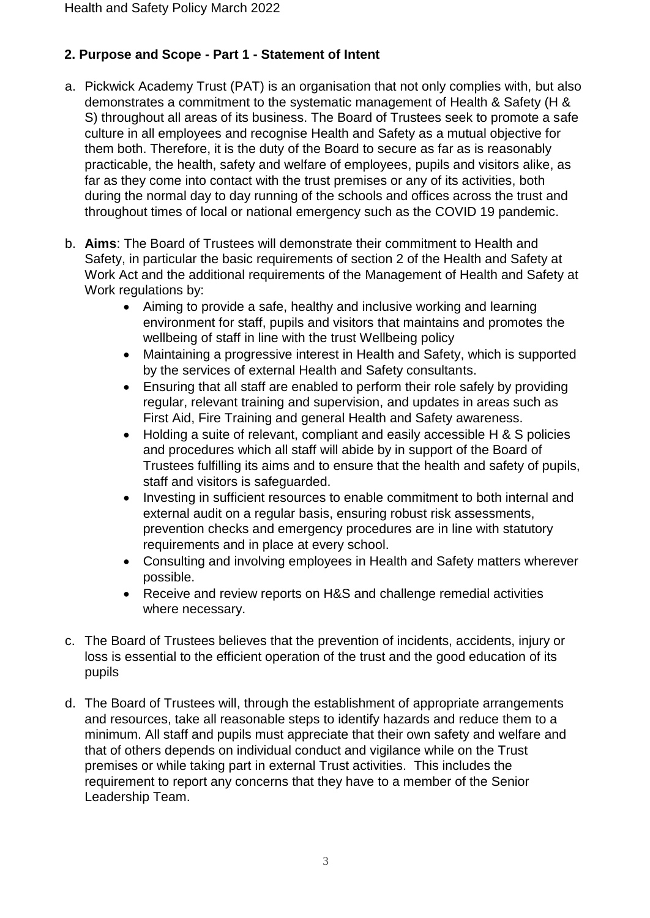# **2. Purpose and Scope - Part 1 - Statement of Intent**

- a. Pickwick Academy Trust (PAT) is an organisation that not only complies with, but also demonstrates a commitment to the systematic management of Health & Safety (H & S) throughout all areas of its business. The Board of Trustees seek to promote a safe culture in all employees and recognise Health and Safety as a mutual objective for them both. Therefore, it is the duty of the Board to secure as far as is reasonably practicable, the health, safety and welfare of employees, pupils and visitors alike, as far as they come into contact with the trust premises or any of its activities, both during the normal day to day running of the schools and offices across the trust and throughout times of local or national emergency such as the COVID 19 pandemic.
- b. **Aims**: The Board of Trustees will demonstrate their commitment to Health and Safety, in particular the basic requirements of section 2 of the Health and Safety at Work Act and the additional requirements of the Management of Health and Safety at Work regulations by:
	- Aiming to provide a safe, healthy and inclusive working and learning environment for staff, pupils and visitors that maintains and promotes the wellbeing of staff in line with the trust Wellbeing policy
	- Maintaining a progressive interest in Health and Safety, which is supported by the services of external Health and Safety consultants.
	- Ensuring that all staff are enabled to perform their role safely by providing regular, relevant training and supervision, and updates in areas such as First Aid, Fire Training and general Health and Safety awareness.
	- Holding a suite of relevant, compliant and easily accessible H & S policies and procedures which all staff will abide by in support of the Board of Trustees fulfilling its aims and to ensure that the health and safety of pupils, staff and visitors is safeguarded.
	- Investing in sufficient resources to enable commitment to both internal and external audit on a regular basis, ensuring robust risk assessments, prevention checks and emergency procedures are in line with statutory requirements and in place at every school.
	- Consulting and involving employees in Health and Safety matters wherever possible.
	- Receive and review reports on H&S and challenge remedial activities where necessary.
- c. The Board of Trustees believes that the prevention of incidents, accidents, injury or loss is essential to the efficient operation of the trust and the good education of its pupils
- d. The Board of Trustees will, through the establishment of appropriate arrangements and resources, take all reasonable steps to identify hazards and reduce them to a minimum. All staff and pupils must appreciate that their own safety and welfare and that of others depends on individual conduct and vigilance while on the Trust premises or while taking part in external Trust activities. This includes the requirement to report any concerns that they have to a member of the Senior Leadership Team.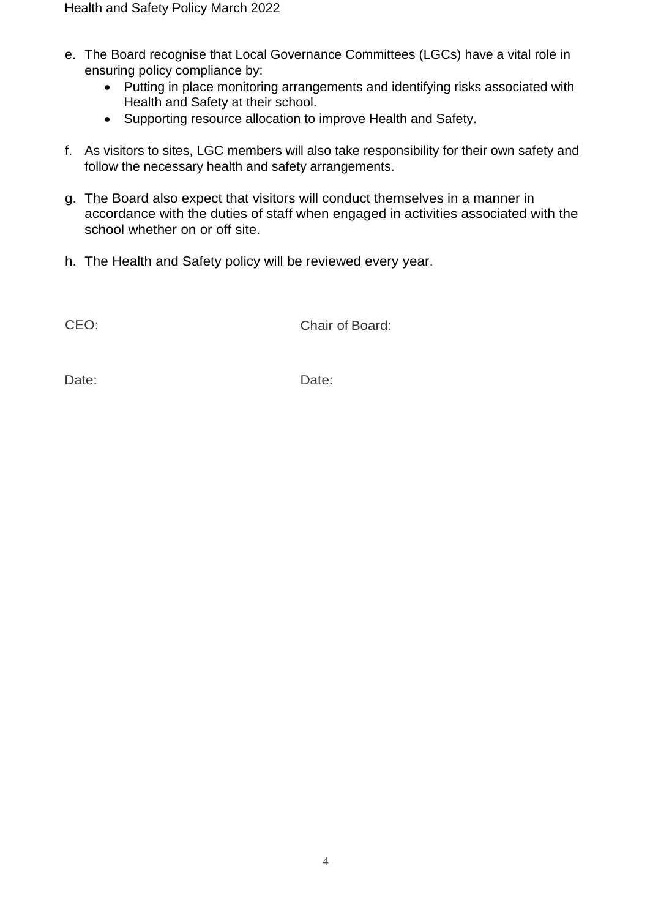- e. The Board recognise that Local Governance Committees (LGCs) have a vital role in ensuring policy compliance by:
	- Putting in place monitoring arrangements and identifying risks associated with Health and Safety at their school.
	- Supporting resource allocation to improve Health and Safety.
- f. As visitors to sites, LGC members will also take responsibility for their own safety and follow the necessary health and safety arrangements.
- g. The Board also expect that visitors will conduct themselves in a manner in accordance with the duties of staff when engaged in activities associated with the school whether on or off site.
- h. The Health and Safety policy will be reviewed every year.

CEO: CEO: Chair of Board:

Date: Date: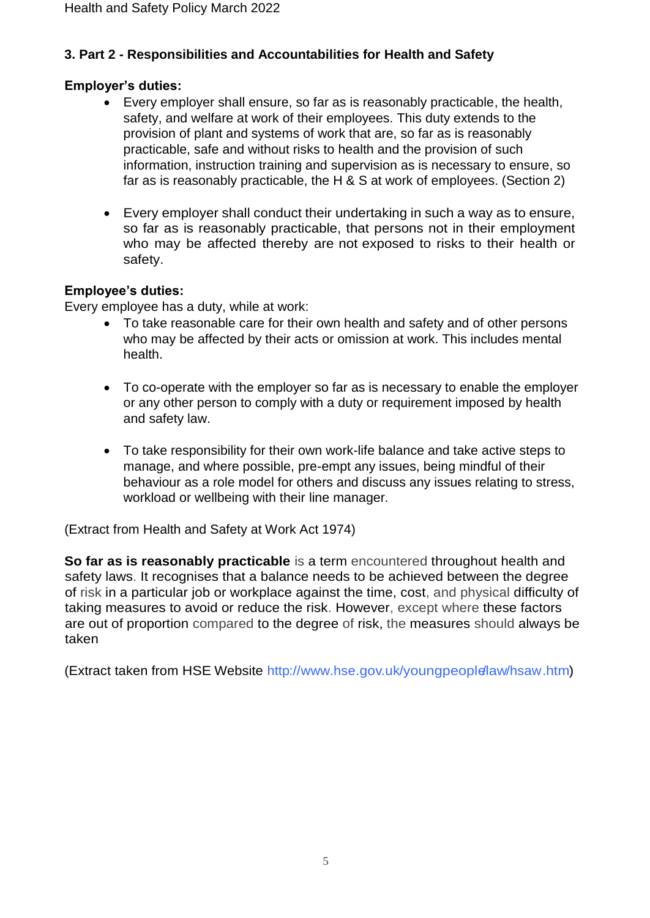# **3. Part 2 - Responsibilities and Accountabilities for Health and Safety**

# **Employer's duties:**

- Every employer shall ensure, so far as is reasonably practicable, the health, safety, and welfare at work of their employees. This duty extends to the provision of plant and systems of work that are, so far as is reasonably practicable, safe and without risks to health and the provision of such information, instruction training and supervision as is necessary to ensure, so far as is reasonably practicable, the H & S at work of employees. (Section 2)
- Every employer shall conduct their undertaking in such a way as to ensure, so far as is reasonably practicable, that persons not in their employment who may be affected thereby are not exposed to risks to their health or safety.

#### **Employee's duties:**

Every employee has a duty, while at work:

- To take reasonable care for their own health and safety and of other persons who may be affected by their acts or omission at work. This includes mental health.
- To co-operate with the employer so far as is necessary to enable the employer or any other person to comply with a duty or requirement imposed by health and safety law.
- To take responsibility for their own work-life balance and take active steps to manage, and where possible, pre-empt any issues, being mindful of their behaviour as a role model for others and discuss any issues relating to stress, workload or wellbeing with their line manager.

(Extract from Health and Safety at Work Act 1974)

**So far as is reasonably practicable** is a term encountered throughout health and safety laws. It recognises that a balance needs to be achieved between the degree of risk in a particular job or workplace against the time, cost, and physical difficulty of taking measures to avoid or reduce the risk. However, except where these factors are out of proportion compared to the degree of risk, the measures should always be taken

(Extract taken from HSE Website [http://www.hse.gov.uk/youngpeople/law/hsaw.htm\)](http://www.hse.gov.uk/youngpeople/law/hsaw.htm))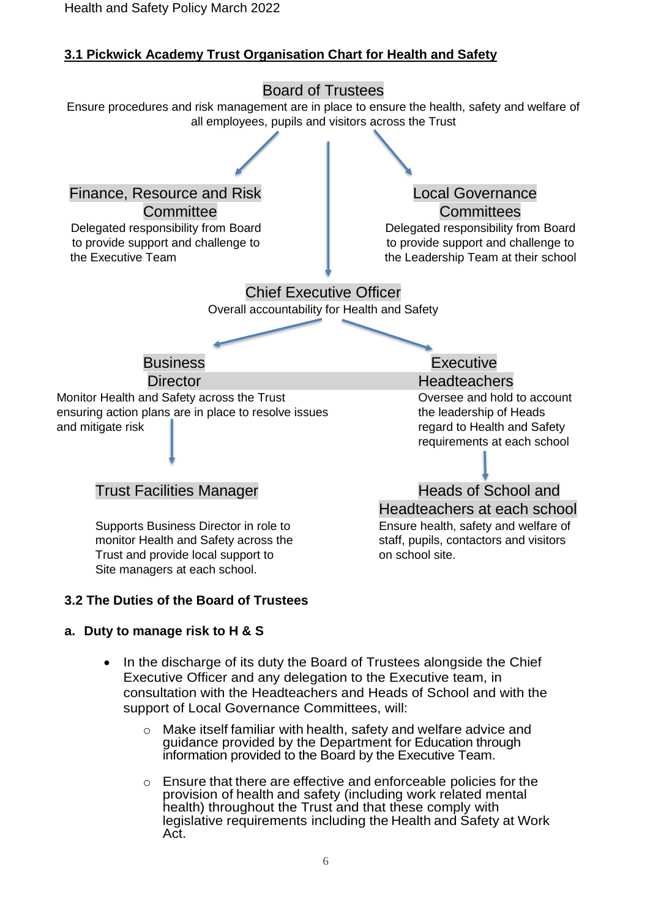# **3.1 Pickwick Academy Trust Organisation Chart for Health and Safety**



# **3.2 The Duties of the Board of Trustees**

#### **a. Duty to manage risk to H & S**

- In the discharge of its duty the Board of Trustees alongside the Chief Executive Officer and any delegation to the Executive team, in consultation with the Headteachers and Heads of School and with the support of Local Governance Committees, will:
	- o Make itself familiar with health, safety and welfare advice and guidance provided by the Department for Education through information provided to the Board by the Executive Team.
	- o Ensure that there are effective and enforceable policies for the provision of health and safety (including work related mental health) throughout the Trust and that these comply with legislative requirements including the Health and Safety at Work Act.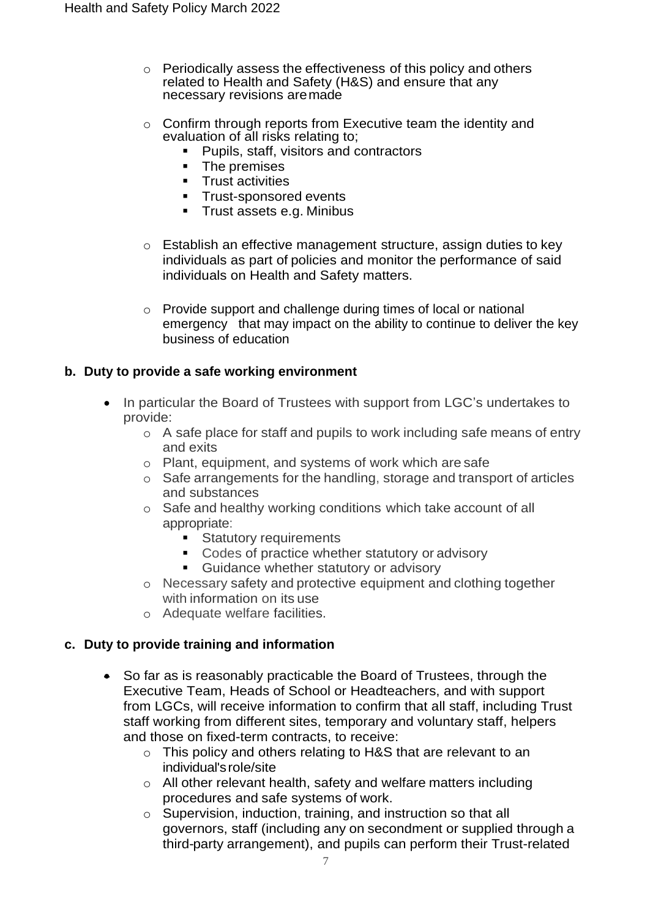- o Periodically assess the effectiveness of this policy and others related to Health and Safety (H&S) and ensure that any necessary revisions aremade
- o Confirm through reports from Executive team the identity and evaluation of all risks relating to;
	- Pupils, staff, visitors and contractors
	- **•** The premises
	- **·** Trust activities
	- Trust-sponsored events
	- Trust assets e.g. Minibus
- o Establish an effective management structure, assign duties to key individuals as part of policies and monitor the performance of said individuals on Health and Safety matters.
- o Provide support and challenge during times of local or national emergency that may impact on the ability to continue to deliver the key business of education

#### **b. Duty to provide a safe working environment**

- In particular the Board of Trustees with support from LGC's undertakes to provide:
	- o A safe place for staff and pupils to work including safe means of entry and exits
	- o Plant, equipment, and systems of work which are safe
	- o Safe arrangements for the handling, storage and transport of articles and substances
	- o Safe and healthy working conditions which take account of all appropriate:
		- Statutory requirements
		- Codes of practice whether statutory or advisory
		- Guidance whether statutory or advisory
	- o Necessary safety and protective equipment and clothing together with information on its use
	- o Adequate welfare facilities.

#### **c. Duty to provide training and information**

- So far as is reasonably practicable the Board of Trustees, through the Executive Team, Heads of School or Headteachers, and with support from LGCs, will receive information to confirm that all staff, including Trust staff working from different sites, temporary and voluntary staff, helpers and those on fixed-term contracts, to receive:
	- o This policy and others relating to H&S that are relevant to an individual's role/site
	- o All other relevant health, safety and welfare matters including procedures and safe systems of work.
	- o Supervision, induction, training, and instruction so that all governors, staff (including any on secondment or supplied through a third-party arrangement), and pupils can perform their Trust-related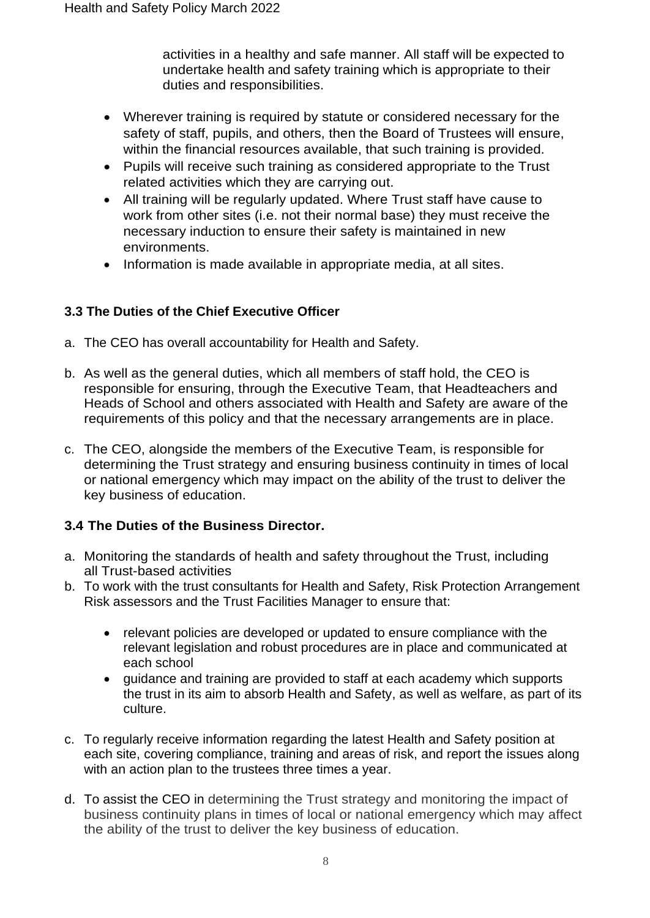activities in a healthy and safe manner. All staff will be expected to undertake health and safety training which is appropriate to their duties and responsibilities.

- Wherever training is required by statute or considered necessary for the safety of staff, pupils, and others, then the Board of Trustees will ensure, within the financial resources available, that such training is provided.
- Pupils will receive such training as considered appropriate to the Trust related activities which they are carrying out.
- All training will be regularly updated. Where Trust staff have cause to work from other sites (i.e. not their normal base) they must receive the necessary induction to ensure their safety is maintained in new environments.
- Information is made available in appropriate media, at all sites.

# **3.3 The Duties of the Chief Executive Officer**

- a. The CEO has overall accountability for Health and Safety.
- b. As well as the general duties, which all members of staff hold, the CEO is responsible for ensuring, through the Executive Team, that Headteachers and Heads of School and others associated with Health and Safety are aware of the requirements of this policy and that the necessary arrangements are in place.
- c. The CEO, alongside the members of the Executive Team, is responsible for determining the Trust strategy and ensuring business continuity in times of local or national emergency which may impact on the ability of the trust to deliver the key business of education.

# **3.4 The Duties of the Business Director.**

- a. Monitoring the standards of health and safety throughout the Trust, including all Trust-based activities
- b. To work with the trust consultants for Health and Safety, Risk Protection Arrangement Risk assessors and the Trust Facilities Manager to ensure that:
	- relevant policies are developed or updated to ensure compliance with the relevant legislation and robust procedures are in place and communicated at each school
	- guidance and training are provided to staff at each academy which supports the trust in its aim to absorb Health and Safety, as well as welfare, as part of its culture.
- c. To regularly receive information regarding the latest Health and Safety position at each site, covering compliance, training and areas of risk, and report the issues along with an action plan to the trustees three times a year.
- d. To assist the CEO in determining the Trust strategy and monitoring the impact of business continuity plans in times of local or national emergency which may affect the ability of the trust to deliver the key business of education.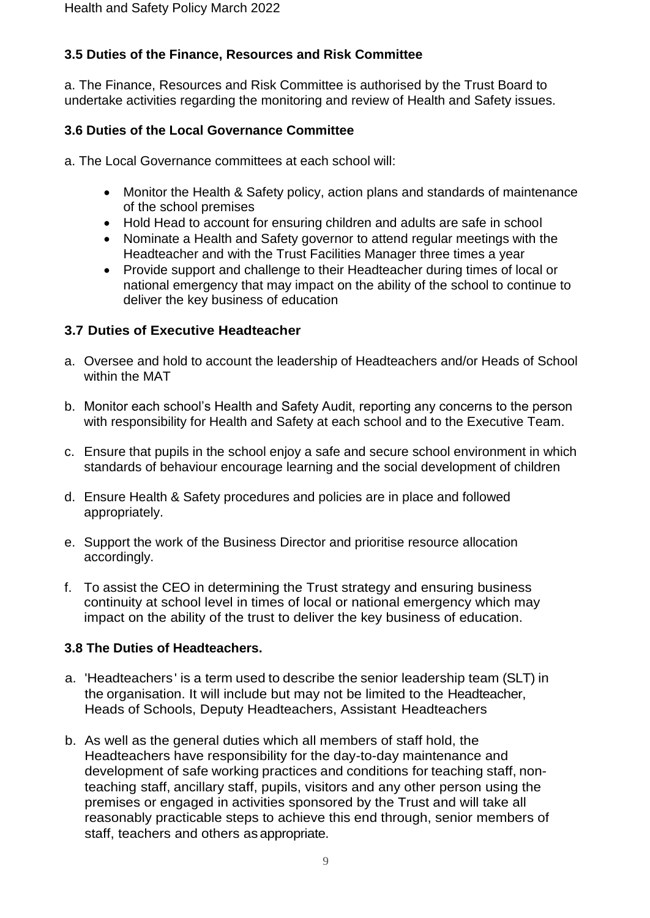# **3.5 Duties of the Finance, Resources and Risk Committee**

a. The Finance, Resources and Risk Committee is authorised by the Trust Board to undertake activities regarding the monitoring and review of Health and Safety issues.

#### **3.6 Duties of the Local Governance Committee**

a. The Local Governance committees at each school will:

- Monitor the Health & Safety policy, action plans and standards of maintenance of the school premises
- Hold Head to account for ensuring children and adults are safe in school
- Nominate a Health and Safety governor to attend regular meetings with the Headteacher and with the Trust Facilities Manager three times a year
- Provide support and challenge to their Headteacher during times of local or national emergency that may impact on the ability of the school to continue to deliver the key business of education

# **3.7 Duties of Executive Headteacher**

- a. Oversee and hold to account the leadership of Headteachers and/or Heads of School within the MAT
- b. Monitor each school's Health and Safety Audit, reporting any concerns to the person with responsibility for Health and Safety at each school and to the Executive Team.
- c. Ensure that pupils in the school enjoy a safe and secure school environment in which standards of behaviour encourage learning and the social development of children
- d. Ensure Health & Safety procedures and policies are in place and followed appropriately.
- e. Support the work of the Business Director and prioritise resource allocation accordingly.
- f. To assist the CEO in determining the Trust strategy and ensuring business continuity at school level in times of local or national emergency which may impact on the ability of the trust to deliver the key business of education.

# **3.8 The Duties of Headteachers.**

- a. 'Headteachers' is a term used to describe the senior leadership team (SLT) in the organisation. It will include but may not be limited to the Headteacher, Heads of Schools, Deputy Headteachers, Assistant Headteachers
- b. As well as the general duties which all members of staff hold, the Headteachers have responsibility for the day-to-day maintenance and development of safe working practices and conditions for teaching staff, nonteaching staff, ancillary staff, pupils, visitors and any other person using the premises or engaged in activities sponsored by the Trust and will take all reasonably practicable steps to achieve this end through, senior members of staff, teachers and others as appropriate.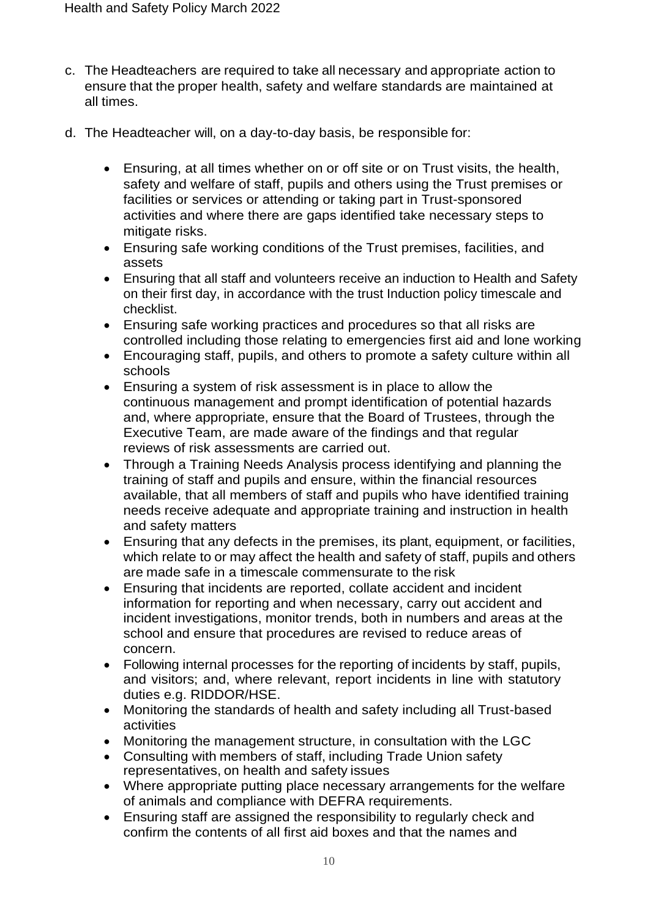- c. The Headteachers are required to take all necessary and appropriate action to ensure that the proper health, safety and welfare standards are maintained at all times.
- d. The Headteacher will, on a day-to-day basis, be responsible for:
	- Ensuring, at all times whether on or off site or on Trust visits, the health, safety and welfare of staff, pupils and others using the Trust premises or facilities or services or attending or taking part in Trust-sponsored activities and where there are gaps identified take necessary steps to mitigate risks.
	- Ensuring safe working conditions of the Trust premises, facilities, and assets
	- Ensuring that all staff and volunteers receive an induction to Health and Safety on their first day, in accordance with the trust Induction policy timescale and checklist.
	- Ensuring safe working practices and procedures so that all risks are controlled including those relating to emergencies first aid and lone working
	- Encouraging staff, pupils, and others to promote a safety culture within all schools
	- Ensuring a system of risk assessment is in place to allow the continuous management and prompt identification of potential hazards and, where appropriate, ensure that the Board of Trustees, through the Executive Team, are made aware of the findings and that regular reviews of risk assessments are carried out.
	- Through a Training Needs Analysis process identifying and planning the training of staff and pupils and ensure, within the financial resources available, that all members of staff and pupils who have identified training needs receive adequate and appropriate training and instruction in health and safety matters
	- Ensuring that any defects in the premises, its plant, equipment, or facilities, which relate to or may affect the health and safety of staff, pupils and others are made safe in a timescale commensurate to the risk
	- Ensuring that incidents are reported, collate accident and incident information for reporting and when necessary, carry out accident and incident investigations, monitor trends, both in numbers and areas at the school and ensure that procedures are revised to reduce areas of concern.
	- Following internal processes for the reporting of incidents by staff, pupils, and visitors; and, where relevant, report incidents in line with statutory duties e.g. RIDDOR/HSE.
	- Monitoring the standards of health and safety including all Trust-based activities
	- Monitoring the management structure, in consultation with the LGC
	- Consulting with members of staff, including Trade Union safety representatives, on health and safety issues
	- Where appropriate putting place necessary arrangements for the welfare of animals and compliance with DEFRA requirements.
	- Ensuring staff are assigned the responsibility to regularly check and confirm the contents of all first aid boxes and that the names and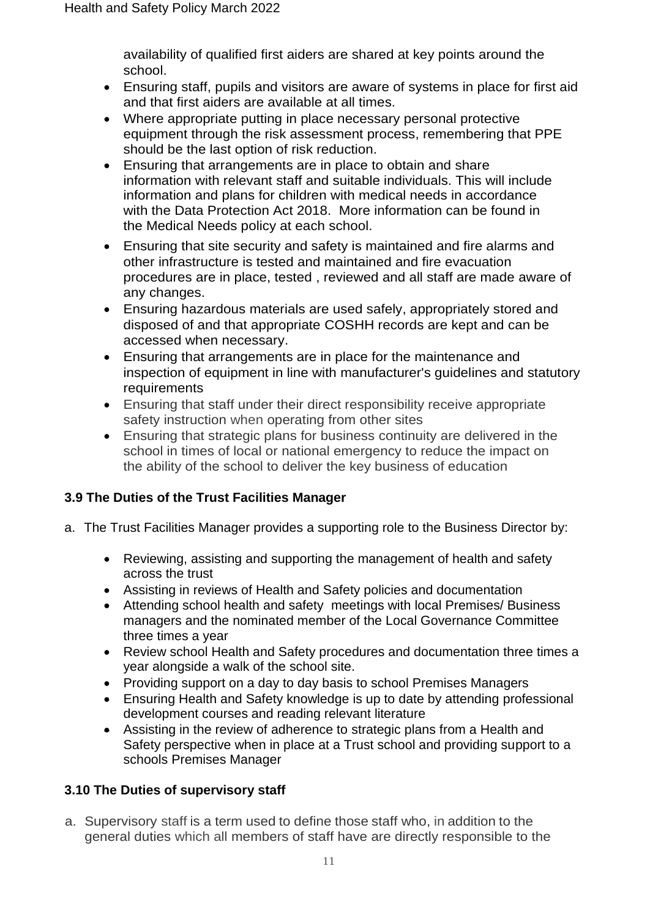availability of qualified first aiders are shared at key points around the school.

- Ensuring staff, pupils and visitors are aware of systems in place for first aid and that first aiders are available at all times.
- Where appropriate putting in place necessary personal protective equipment through the risk assessment process, remembering that PPE should be the last option of risk reduction.
- Ensuring that arrangements are in place to obtain and share information with relevant staff and suitable individuals. This will include information and plans for children with medical needs in accordance with the Data Protection Act 2018. More information can be found in the Medical Needs policy at each school.
- Ensuring that site security and safety is maintained and fire alarms and other infrastructure is tested and maintained and fire evacuation procedures are in place, tested , reviewed and all staff are made aware of any changes.
- Ensuring hazardous materials are used safely, appropriately stored and disposed of and that appropriate COSHH records are kept and can be accessed when necessary.
- Ensuring that arrangements are in place for the maintenance and inspection of equipment in line with manufacturer's guidelines and statutory requirements
- Ensuring that staff under their direct responsibility receive appropriate safety instruction when operating from other sites
- Ensuring that strategic plans for business continuity are delivered in the school in times of local or national emergency to reduce the impact on the ability of the school to deliver the key business of education

# **3.9 The Duties of the Trust Facilities Manager**

- a. The Trust Facilities Manager provides a supporting role to the Business Director by:
	- Reviewing, assisting and supporting the management of health and safety across the trust
	- Assisting in reviews of Health and Safety policies and documentation
	- Attending school health and safety meetings with local Premises/ Business managers and the nominated member of the Local Governance Committee three times a year
	- Review school Health and Safety procedures and documentation three times a year alongside a walk of the school site.
	- Providing support on a day to day basis to school Premises Managers
	- Ensuring Health and Safety knowledge is up to date by attending professional development courses and reading relevant literature
	- Assisting in the review of adherence to strategic plans from a Health and Safety perspective when in place at a Trust school and providing support to a schools Premises Manager

# **3.10 The Duties of supervisory staff**

a. Supervisory staff is a term used to define those staff who, in addition to the general duties which all members of staff have are directly responsible to the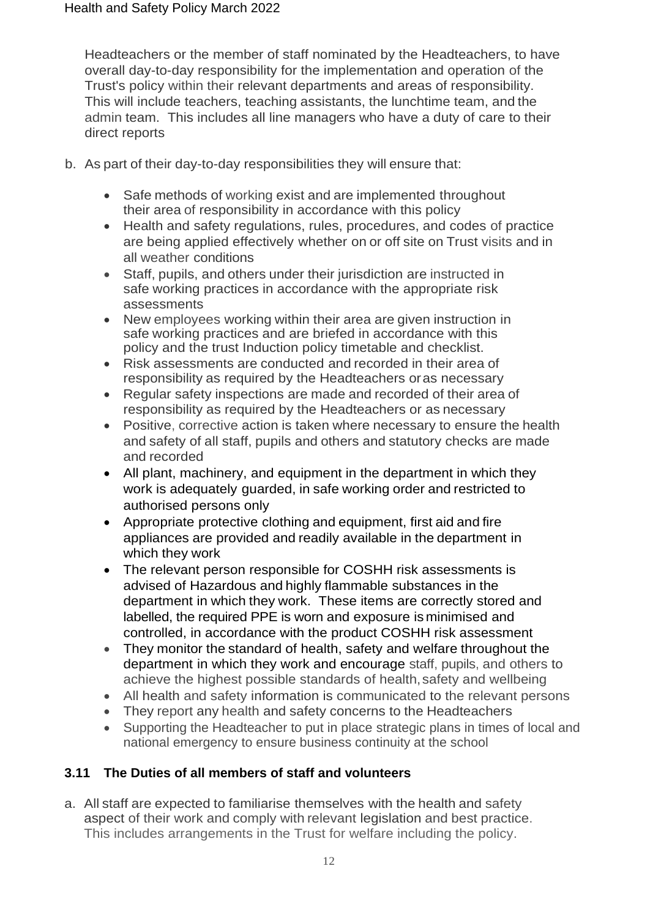Headteachers or the member of staff nominated by the Headteachers, to have overall day-to-day responsibility for the implementation and operation of the Trust's policy within their relevant departments and areas of responsibility. This will include teachers, teaching assistants, the lunchtime team, and the admin team. This includes all line managers who have a duty of care to their direct reports

- b. As part of their day-to-day responsibilities they will ensure that:
	- Safe methods of working exist and are implemented throughout their area of responsibility in accordance with this policy
	- Health and safety regulations, rules, procedures, and codes of practice are being applied effectively whether on or off site on Trust visits and in all weather conditions
	- Staff, pupils, and others under their jurisdiction are instructed in safe working practices in accordance with the appropriate risk assessments
	- New employees working within their area are given instruction in safe working practices and are briefed in accordance with this policy and the trust Induction policy timetable and checklist.
	- Risk assessments are conducted and recorded in their area of responsibility as required by the Headteachers oras necessary
	- Regular safety inspections are made and recorded of their area of responsibility as required by the Headteachers or as necessary
	- Positive, corrective action is taken where necessary to ensure the health and safety of all staff, pupils and others and statutory checks are made and recorded
	- All plant, machinery, and equipment in the department in which they work is adequately guarded, in safe working order and restricted to authorised persons only
	- Appropriate protective clothing and equipment, first aid and fire appliances are provided and readily available in the department in which they work
	- The relevant person responsible for COSHH risk assessments is advised of Hazardous and highly flammable substances in the department in which they work. These items are correctly stored and labelled, the required PPE is worn and exposure is minimised and controlled, in accordance with the product COSHH risk assessment
	- They monitor the standard of health, safety and welfare throughout the department in which they work and encourage staff, pupils, and others to achieve the highest possible standards of health, safety and wellbeing
	- All health and safety information is communicated to the relevant persons
	- They report any health and safety concerns to the Headteachers
	- Supporting the Headteacher to put in place strategic plans in times of local and national emergency to ensure business continuity at the school

# **3.11 The Duties of all members of staff and volunteers**

a. All staff are expected to familiarise themselves with the health and safety aspect of their work and comply with relevant legislation and best practice. This includes arrangements in the Trust for welfare including the policy.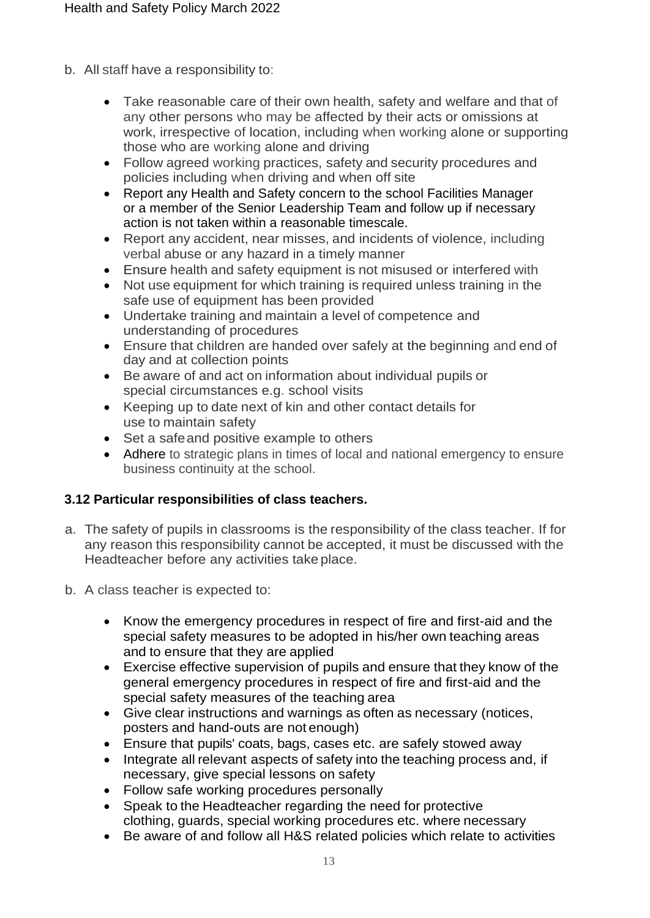- b. All staff have a responsibility to:
	- Take reasonable care of their own health, safety and welfare and that of any other persons who may be affected by their acts or omissions at work, irrespective of location, including when working alone or supporting those who are working alone and driving
	- Follow agreed working practices, safety and security procedures and policies including when driving and when off site
	- Report any Health and Safety concern to the school Facilities Manager or a member of the Senior Leadership Team and follow up if necessary action is not taken within a reasonable timescale.
	- Report any accident, near misses, and incidents of violence, including verbal abuse or any hazard in a timely manner
	- Ensure health and safety equipment is not misused or interfered with
	- Not use equipment for which training is required unless training in the safe use of equipment has been provided
	- Undertake training and maintain a level of competence and understanding of procedures
	- Ensure that children are handed over safely at the beginning and end of day and at collection points
	- Be aware of and act on information about individual pupils or special circumstances e.g. school visits
	- Keeping up to date next of kin and other contact details for use to maintain safety
	- Set a safeand positive example to others
	- Adhere to strategic plans in times of local and national emergency to ensure business continuity at the school.

# **3.12 Particular responsibilities of class teachers.**

- a. The safety of pupils in classrooms is the responsibility of the class teacher. If for any reason this responsibility cannot be accepted, it must be discussed with the Headteacher before any activities take place.
- b. A class teacher is expected to:
	- Know the emergency procedures in respect of fire and first-aid and the special safety measures to be adopted in his/her own teaching areas and to ensure that they are applied
	- Exercise effective supervision of pupils and ensure that they know of the general emergency procedures in respect of fire and first-aid and the special safety measures of the teaching area
	- Give clear instructions and warnings as often as necessary (notices, posters and hand-outs are not enough)
	- Ensure that pupils' coats, bags, cases etc. are safely stowed away
	- Integrate all relevant aspects of safety into the teaching process and, if necessary, give special lessons on safety
	- Follow safe working procedures personally
	- Speak to the Headteacher regarding the need for protective clothing, guards, special working procedures etc. where necessary
	- Be aware of and follow all H&S related policies which relate to activities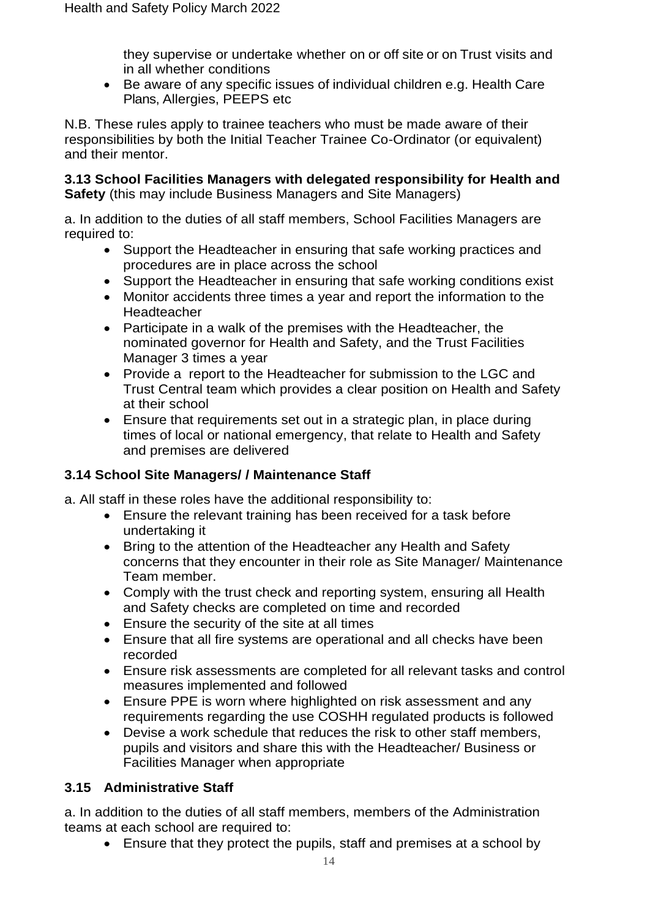they supervise or undertake whether on or off site or on Trust visits and in all whether conditions

• Be aware of any specific issues of individual children e.g. Health Care Plans, Allergies, PEEPS etc

N.B. These rules apply to trainee teachers who must be made aware of their responsibilities by both the Initial Teacher Trainee Co-Ordinator (or equivalent) and their mentor.

**3.13 School Facilities Managers with delegated responsibility for Health and Safety** (this may include Business Managers and Site Managers)

a. In addition to the duties of all staff members, School Facilities Managers are required to:

- Support the Headteacher in ensuring that safe working practices and procedures are in place across the school
- Support the Headteacher in ensuring that safe working conditions exist
- Monitor accidents three times a year and report the information to the **Headteacher**
- Participate in a walk of the premises with the Headteacher, the nominated governor for Health and Safety, and the Trust Facilities Manager 3 times a year
- Provide a report to the Headteacher for submission to the LGC and Trust Central team which provides a clear position on Health and Safety at their school
- Ensure that requirements set out in a strategic plan, in place during times of local or national emergency, that relate to Health and Safety and premises are delivered

# **3.14 School Site Managers/ / Maintenance Staff**

a. All staff in these roles have the additional responsibility to:

- Ensure the relevant training has been received for a task before undertaking it
- Bring to the attention of the Headteacher any Health and Safety concerns that they encounter in their role as Site Manager/ Maintenance Team member.
- Comply with the trust check and reporting system, ensuring all Health and Safety checks are completed on time and recorded
- Ensure the security of the site at all times
- Ensure that all fire systems are operational and all checks have been recorded
- Ensure risk assessments are completed for all relevant tasks and control measures implemented and followed
- Ensure PPE is worn where highlighted on risk assessment and any requirements regarding the use COSHH regulated products is followed
- Devise a work schedule that reduces the risk to other staff members, pupils and visitors and share this with the Headteacher/ Business or Facilities Manager when appropriate

# **3.15 Administrative Staff**

a. In addition to the duties of all staff members, members of the Administration teams at each school are required to:

• Ensure that they protect the pupils, staff and premises at a school by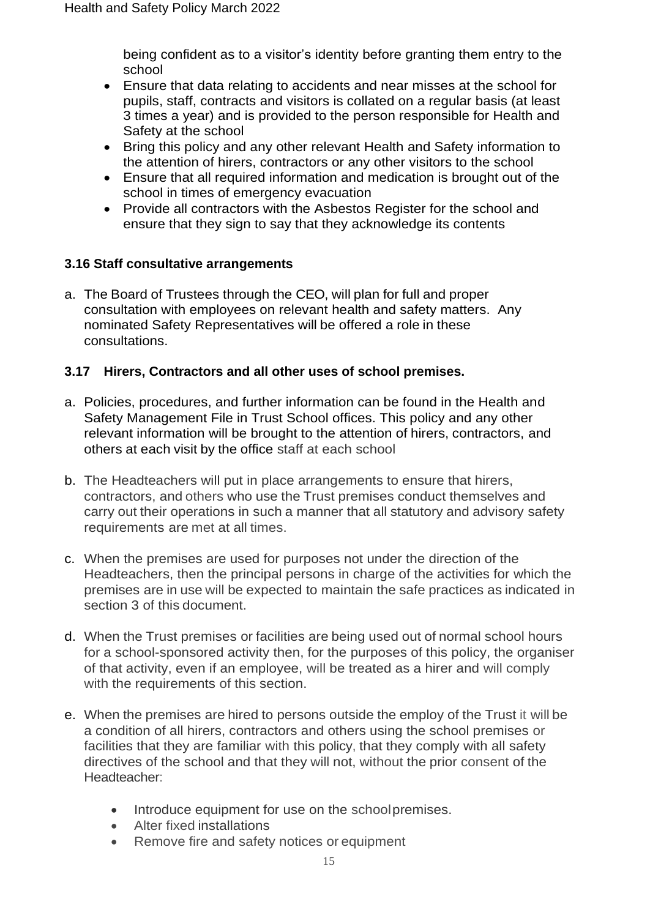being confident as to a visitor's identity before granting them entry to the school

- Ensure that data relating to accidents and near misses at the school for pupils, staff, contracts and visitors is collated on a regular basis (at least 3 times a year) and is provided to the person responsible for Health and Safety at the school
- Bring this policy and any other relevant Health and Safety information to the attention of hirers, contractors or any other visitors to the school
- Ensure that all required information and medication is brought out of the school in times of emergency evacuation
- Provide all contractors with the Asbestos Register for the school and ensure that they sign to say that they acknowledge its contents

#### **3.16 Staff consultative arrangements**

a. The Board of Trustees through the CEO, will plan for full and proper consultation with employees on relevant health and safety matters. Any nominated Safety Representatives will be offered a role in these consultations.

#### **3.17 Hirers, Contractors and all other uses of school premises.**

- a. Policies, procedures, and further information can be found in the Health and Safety Management File in Trust School offices. This policy and any other relevant information will be brought to the attention of hirers, contractors, and others at each visit by the office staff at each school
- b. The Headteachers will put in place arrangements to ensure that hirers, contractors, and others who use the Trust premises conduct themselves and carry out their operations in such a manner that all statutory and advisory safety requirements are met at all times.
- c. When the premises are used for purposes not under the direction of the Headteachers, then the principal persons in charge of the activities for which the premises are in use will be expected to maintain the safe practices as indicated in section 3 of this document.
- d. When the Trust premises or facilities are being used out of normal school hours for a school-sponsored activity then, for the purposes of this policy, the organiser of that activity, even if an employee, will be treated as a hirer and will comply with the requirements of this section.
- e. When the premises are hired to persons outside the employ of the Trust it will be a condition of all hirers, contractors and others using the school premises or facilities that they are familiar with this policy, that they comply with all safety directives of the school and that they will not, without the prior consent of the Headteacher:
	- Introduce equipment for use on the schoolpremises.
	- Alter fixed installations
	- Remove fire and safety notices or equipment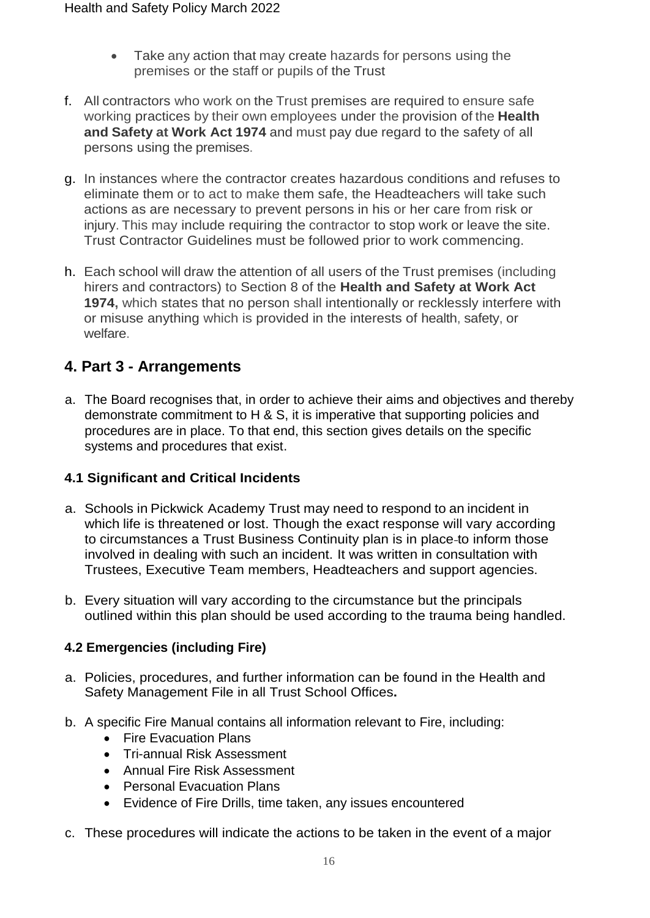- Take any action that may create hazards for persons using the premises or the staff or pupils of the Trust
- f. All contractors who work on the Trust premises are required to ensure safe working practices by their own employees under the provision of the **Health and Safety at Work Act 1974** and must pay due regard to the safety of all persons using the premises.
- g. In instances where the contractor creates hazardous conditions and refuses to eliminate them or to act to make them safe, the Headteachers will take such actions as are necessary to prevent persons in his or her care from risk or injury. This may include requiring the contractor to stop work or leave the site. Trust Contractor Guidelines must be followed prior to work commencing.
- h. Each school will draw the attention of all users of the Trust premises (including hirers and contractors) to Section 8 of the **Health and Safety at Work Act 1974,** which states that no person shall intentionally or recklessly interfere with or misuse anything which is provided in the interests of health, safety, or welfare.

# **4. Part 3 - Arrangements**

a. The Board recognises that, in order to achieve their aims and objectives and thereby demonstrate commitment to H & S, it is imperative that supporting policies and procedures are in place. To that end, this section gives details on the specific systems and procedures that exist.

# **4.1 Significant and Critical Incidents**

- a. Schools in Pickwick Academy Trust may need to respond to an incident in which life is threatened or lost. Though the exact response will vary according to circumstances a Trust Business Continuity plan is in place to inform those involved in dealing with such an incident. It was written in consultation with Trustees, Executive Team members, Headteachers and support agencies.
- b. Every situation will vary according to the circumstance but the principals outlined within this plan should be used according to the trauma being handled.

# **4.2 Emergencies (including Fire)**

- a. Policies, procedures, and further information can be found in the Health and Safety Management File in all Trust School Offices**.**
- b. A specific Fire Manual contains all information relevant to Fire, including:
	- Fire Evacuation Plans
	- Tri-annual Risk Assessment
	- Annual Fire Risk Assessment
	- Personal Evacuation Plans
	- Evidence of Fire Drills, time taken, any issues encountered
- c. These procedures will indicate the actions to be taken in the event of a major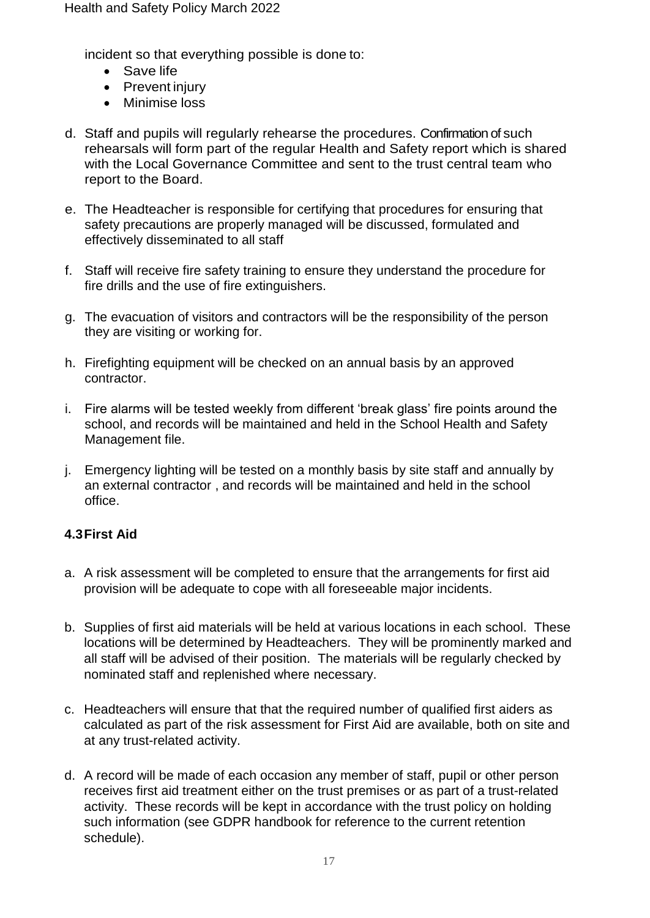incident so that everything possible is done to:

- Save life
- Prevent injury
- Minimise loss
- d. Staff and pupils will regularly rehearse the procedures. Confirmation of such rehearsals will form part of the regular Health and Safety report which is shared with the Local Governance Committee and sent to the trust central team who report to the Board.
- e. The Headteacher is responsible for certifying that procedures for ensuring that safety precautions are properly managed will be discussed, formulated and effectively disseminated to all staff
- f. Staff will receive fire safety training to ensure they understand the procedure for fire drills and the use of fire extinguishers.
- g. The evacuation of visitors and contractors will be the responsibility of the person they are visiting or working for.
- h. Firefighting equipment will be checked on an annual basis by an approved contractor.
- i. Fire alarms will be tested weekly from different 'break glass' fire points around the school, and records will be maintained and held in the School Health and Safety Management file.
- j. Emergency lighting will be tested on a monthly basis by site staff and annually by an external contractor , and records will be maintained and held in the school office.

# **4.3First Aid**

- a. A risk assessment will be completed to ensure that the arrangements for first aid provision will be adequate to cope with all foreseeable major incidents.
- b. Supplies of first aid materials will be held at various locations in each school. These locations will be determined by Headteachers. They will be prominently marked and all staff will be advised of their position. The materials will be regularly checked by nominated staff and replenished where necessary.
- c. Headteachers will ensure that that the required number of qualified first aiders as calculated as part of the risk assessment for First Aid are available, both on site and at any trust-related activity.
- d. A record will be made of each occasion any member of staff, pupil or other person receives first aid treatment either on the trust premises or as part of a trust-related activity. These records will be kept in accordance with the trust policy on holding such information (see GDPR handbook for reference to the current retention schedule).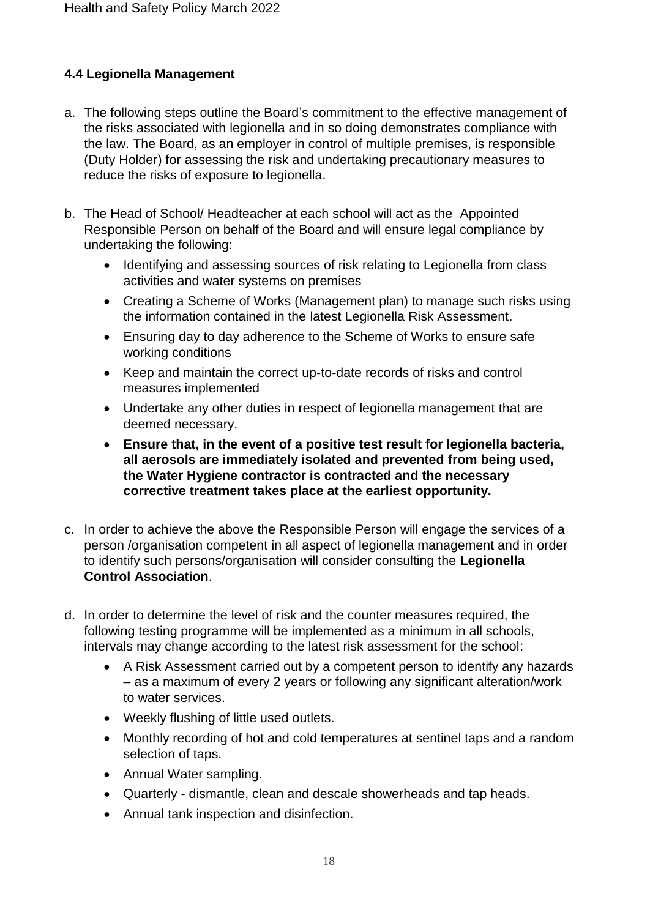# **4.4 Legionella Management**

- a. The following steps outline the Board's commitment to the effective management of the risks associated with legionella and in so doing demonstrates compliance with the law. The Board, as an employer in control of multiple premises, is responsible (Duty Holder) for assessing the risk and undertaking precautionary measures to reduce the risks of exposure to legionella.
- b. The Head of School/ Headteacher at each school will act as the Appointed Responsible Person on behalf of the Board and will ensure legal compliance by undertaking the following:
	- Identifying and assessing sources of risk relating to Legionella from class activities and water systems on premises
	- Creating a Scheme of Works (Management plan) to manage such risks using the information contained in the latest Legionella Risk Assessment.
	- Ensuring day to day adherence to the Scheme of Works to ensure safe working conditions
	- Keep and maintain the correct up-to-date records of risks and control measures implemented
	- Undertake any other duties in respect of legionella management that are deemed necessary.
	- **Ensure that, in the event of a positive test result for legionella bacteria, all aerosols are immediately isolated and prevented from being used, the Water Hygiene contractor is contracted and the necessary corrective treatment takes place at the earliest opportunity.**
- c. In order to achieve the above the Responsible Person will engage the services of a person /organisation competent in all aspect of legionella management and in order to identify such persons/organisation will consider consulting the **Legionella Control Association**.
- d. In order to determine the level of risk and the counter measures required, the following testing programme will be implemented as a minimum in all schools, intervals may change according to the latest risk assessment for the school:
	- A Risk Assessment carried out by a competent person to identify any hazards – as a maximum of every 2 years or following any significant alteration/work to water services.
	- Weekly flushing of little used outlets.
	- Monthly recording of hot and cold temperatures at sentinel taps and a random selection of taps.
	- Annual Water sampling.
	- Quarterly dismantle, clean and descale showerheads and tap heads.
	- Annual tank inspection and disinfection.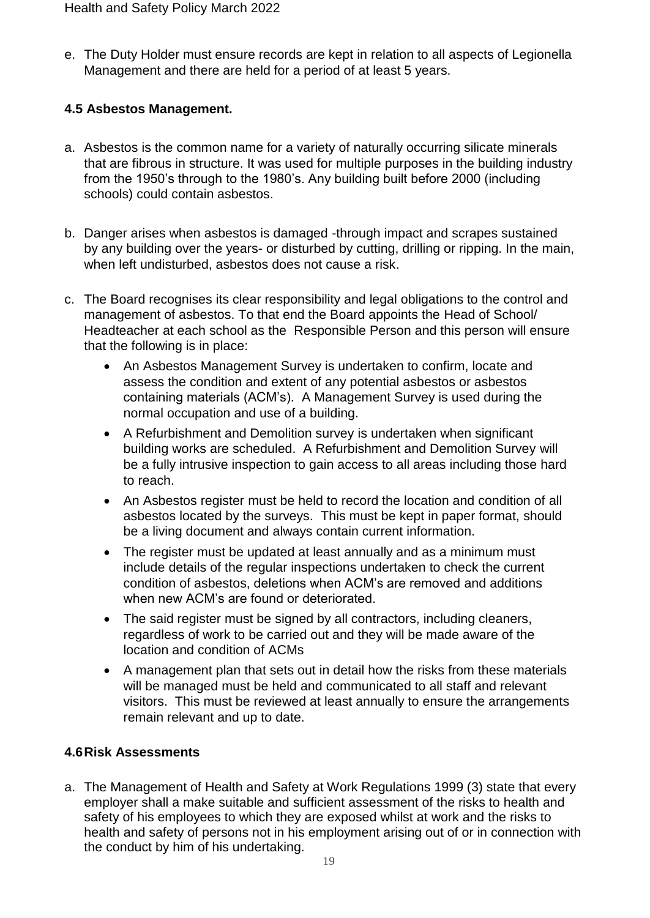e. The Duty Holder must ensure records are kept in relation to all aspects of Legionella Management and there are held for a period of at least 5 years.

# **4.5 Asbestos Management.**

- a. Asbestos is the common name for a variety of naturally occurring silicate minerals that are fibrous in structure. It was used for multiple purposes in the building industry from the 1950's through to the 1980's. Any building built before 2000 (including schools) could contain asbestos.
- b. Danger arises when asbestos is damaged -through impact and scrapes sustained by any building over the years- or disturbed by cutting, drilling or ripping. In the main, when left undisturbed, asbestos does not cause a risk.
- c. The Board recognises its clear responsibility and legal obligations to the control and management of asbestos. To that end the Board appoints the Head of School/ Headteacher at each school as the Responsible Person and this person will ensure that the following is in place:
	- An Asbestos Management Survey is undertaken to confirm, locate and assess the condition and extent of any potential asbestos or asbestos containing materials (ACM's). A Management Survey is used during the normal occupation and use of a building.
	- A Refurbishment and Demolition survey is undertaken when significant building works are scheduled. A Refurbishment and Demolition Survey will be a fully intrusive inspection to gain access to all areas including those hard to reach.
	- An Asbestos register must be held to record the location and condition of all asbestos located by the surveys. This must be kept in paper format, should be a living document and always contain current information.
	- The register must be updated at least annually and as a minimum must include details of the regular inspections undertaken to check the current condition of asbestos, deletions when ACM's are removed and additions when new ACM's are found or deteriorated.
	- The said register must be signed by all contractors, including cleaners, regardless of work to be carried out and they will be made aware of the location and condition of ACMs
	- A management plan that sets out in detail how the risks from these materials will be managed must be held and communicated to all staff and relevant visitors. This must be reviewed at least annually to ensure the arrangements remain relevant and up to date.

# **4.6Risk Assessments**

a. The Management of Health and Safety at Work Regulations 1999 (3) state that every employer shall a make suitable and sufficient assessment of the risks to health and safety of his employees to which they are exposed whilst at work and the risks to health and safety of persons not in his employment arising out of or in connection with the conduct by him of his undertaking.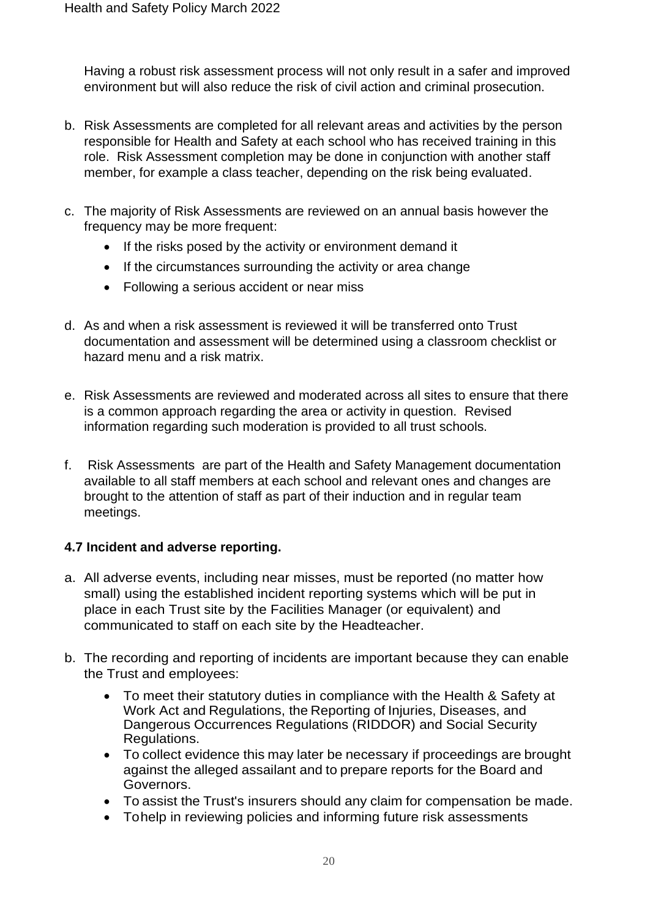Having a robust risk assessment process will not only result in a safer and improved environment but will also reduce the risk of civil action and criminal prosecution.

- b. Risk Assessments are completed for all relevant areas and activities by the person responsible for Health and Safety at each school who has received training in this role. Risk Assessment completion may be done in conjunction with another staff member, for example a class teacher, depending on the risk being evaluated.
- c. The majority of Risk Assessments are reviewed on an annual basis however the frequency may be more frequent:
	- If the risks posed by the activity or environment demand it
	- If the circumstances surrounding the activity or area change
	- Following a serious accident or near miss
- d. As and when a risk assessment is reviewed it will be transferred onto Trust documentation and assessment will be determined using a classroom checklist or hazard menu and a risk matrix.
- e. Risk Assessments are reviewed and moderated across all sites to ensure that there is a common approach regarding the area or activity in question. Revised information regarding such moderation is provided to all trust schools.
- f. Risk Assessments are part of the Health and Safety Management documentation available to all staff members at each school and relevant ones and changes are brought to the attention of staff as part of their induction and in regular team meetings.

# **4.7 Incident and adverse reporting.**

- a. All adverse events, including near misses, must be reported (no matter how small) using the established incident reporting systems which will be put in place in each Trust site by the Facilities Manager (or equivalent) and communicated to staff on each site by the Headteacher.
- b. The recording and reporting of incidents are important because they can enable the Trust and employees:
	- To meet their statutory duties in compliance with the Health & Safety at Work Act and Regulations, the Reporting of Injuries, Diseases, and Dangerous Occurrences Regulations (RIDDOR) and Social Security Regulations.
	- To collect evidence this may later be necessary if proceedings are brought against the alleged assailant and to prepare reports for the Board and Governors.
	- To assist the Trust's insurers should any claim for compensation be made.
	- Tohelp in reviewing policies and informing future risk assessments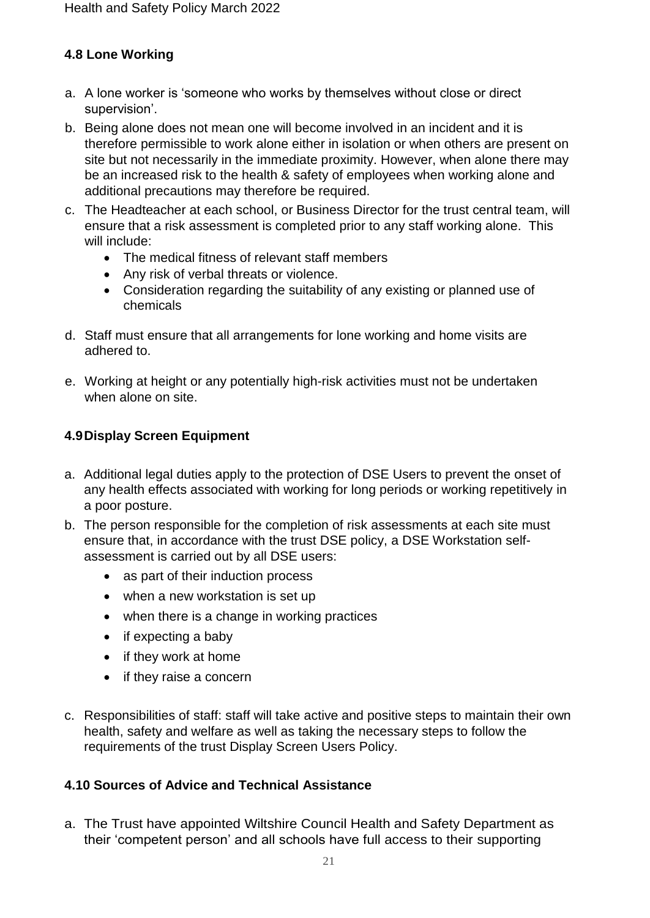# **4.8 Lone Working**

- a. A lone worker is 'someone who works by themselves without close or direct supervision'.
- b. Being alone does not mean one will become involved in an incident and it is therefore permissible to work alone either in isolation or when others are present on site but not necessarily in the immediate proximity. However, when alone there may be an increased risk to the health & safety of employees when working alone and additional precautions may therefore be required.
- c. The Headteacher at each school, or Business Director for the trust central team, will ensure that a risk assessment is completed prior to any staff working alone. This will include:
	- The medical fitness of relevant staff members
	- Any risk of verbal threats or violence.
	- Consideration regarding the suitability of any existing or planned use of chemicals
- d. Staff must ensure that all arrangements for lone working and home visits are adhered to.
- e. Working at height or any potentially high-risk activities must not be undertaken when alone on site.

# **4.9Display Screen Equipment**

- a. Additional legal duties apply to the protection of DSE Users to prevent the onset of any health effects associated with working for long periods or working repetitively in a poor posture.
- b. The person responsible for the completion of risk assessments at each site must ensure that, in accordance with the trust DSE policy, a DSE Workstation selfassessment is carried out by all DSE users:
	- as part of their induction process
	- when a new workstation is set up
	- when there is a change in working practices
	- if expecting a baby
	- if they work at home
	- if they raise a concern
- c. Responsibilities of staff: staff will take active and positive steps to maintain their own health, safety and welfare as well as taking the necessary steps to follow the requirements of the trust Display Screen Users Policy.

# **4.10 Sources of Advice and Technical Assistance**

a. The Trust have appointed Wiltshire Council Health and Safety Department as their 'competent person' and all schools have full access to their supporting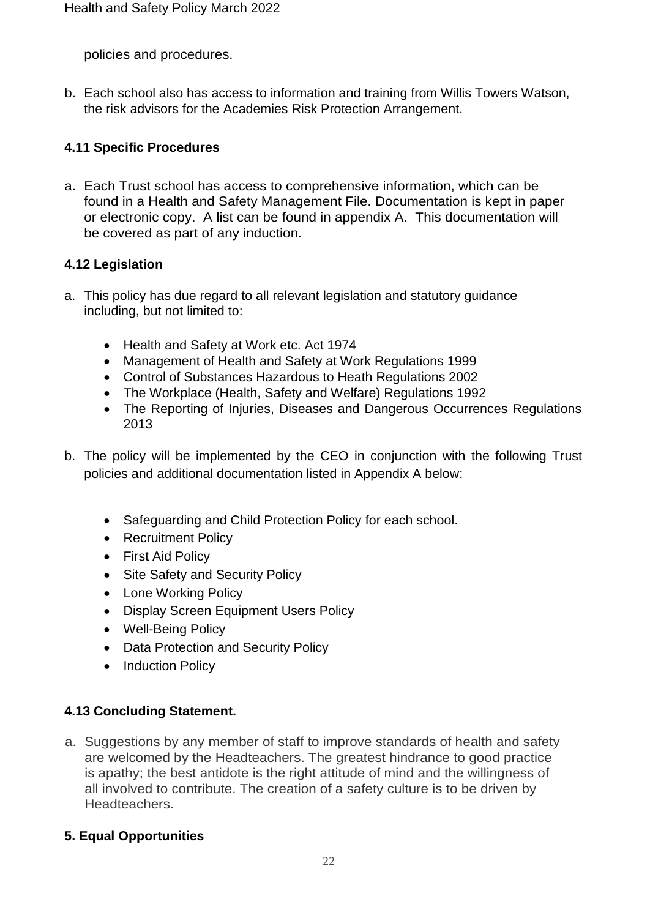policies and procedures.

b. Each school also has access to information and training from Willis Towers Watson, the risk advisors for the Academies Risk Protection Arrangement.

#### **4.11 Specific Procedures**

a. Each Trust school has access to comprehensive information, which can be found in a Health and Safety Management File. Documentation is kept in paper or electronic copy. A list can be found in appendix A. This documentation will be covered as part of any induction.

#### **4.12 Legislation**

- a. This policy has due regard to all relevant legislation and statutory guidance including, but not limited to:
	- Health and Safety at Work etc. Act 1974
	- Management of Health and Safety at Work Regulations 1999
	- Control of Substances Hazardous to Heath Regulations 2002
	- The Workplace (Health, Safety and Welfare) Regulations 1992
	- The Reporting of Injuries, Diseases and Dangerous Occurrences Regulations 2013
- b. The policy will be implemented by the CEO in conjunction with the following Trust policies and additional documentation listed in Appendix A below:
	- Safeguarding and Child Protection Policy for each school.
	- Recruitment Policy
	- First Aid Policy
	- Site Safety and Security Policy
	- Lone Working Policy
	- Display Screen Equipment Users Policy
	- Well-Being Policy
	- Data Protection and Security Policy
	- Induction Policy

# **4.13 Concluding Statement.**

a. Suggestions by any member of staff to improve standards of health and safety are welcomed by the Headteachers. The greatest hindrance to good practice is apathy; the best antidote is the right attitude of mind and the willingness of all involved to contribute. The creation of a safety culture is to be driven by Headteachers.

# **5. Equal Opportunities**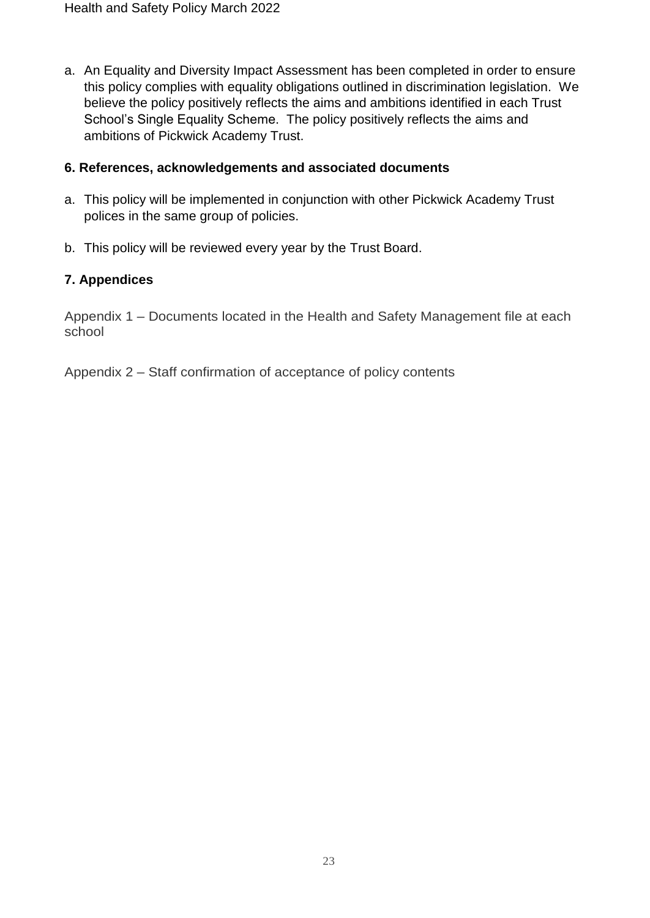a. An Equality and Diversity Impact Assessment has been completed in order to ensure this policy complies with equality obligations outlined in discrimination legislation. We believe the policy positively reflects the aims and ambitions identified in each Trust School's Single Equality Scheme. The policy positively reflects the aims and ambitions of Pickwick Academy Trust.

#### **6. References, acknowledgements and associated documents**

- a. This policy will be implemented in conjunction with other Pickwick Academy Trust polices in the same group of policies.
- b. This policy will be reviewed every year by the Trust Board.

# **7. Appendices**

Appendix 1 – Documents located in the Health and Safety Management file at each school

Appendix 2 – Staff confirmation of acceptance of policy contents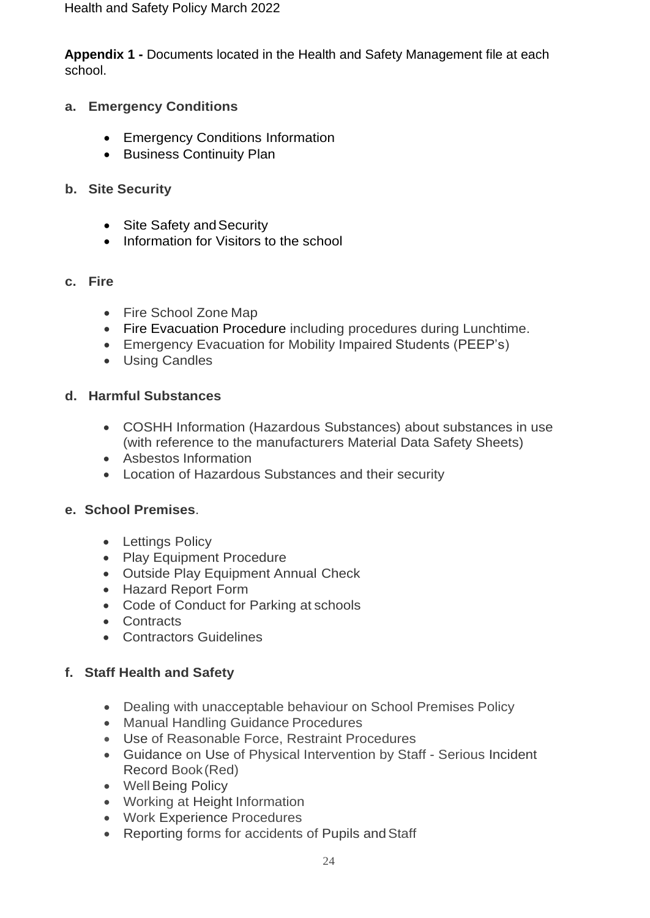**Appendix 1 -** Documents located in the Health and Safety Management file at each school.

# **a. Emergency Conditions**

- Emergency Conditions Information
- Business Continuity Plan

# **b. Site Security**

- Site Safety and Security
- Information for Visitors to the school

# **c. Fire**

- Fire School Zone Map
- Fire Evacuation Procedure including procedures during Lunchtime.
- Emergency Evacuation for Mobility Impaired Students (PEEP's)
- Using Candles

# **d. Harmful Substances**

- COSHH Information (Hazardous Substances) about substances in use (with reference to the manufacturers Material Data Safety Sheets)
- Asbestos Information
- Location of Hazardous Substances and their security

# **e. School Premises**.

- Lettings Policy
- Play Equipment Procedure
- Outside Play Equipment Annual Check
- Hazard Report Form
- Code of Conduct for Parking at schools
- Contracts
- Contractors Guidelines

# **f. Staff Health and Safety**

- Dealing with unacceptable behaviour on School Premises Policy
- Manual Handling Guidance Procedures
- Use of Reasonable Force, Restraint Procedures
- Guidance on Use of Physical Intervention by Staff Serious Incident Record Book(Red)
- Well Being Policy
- Working at Height Information
- Work Experience Procedures
- Reporting forms for accidents of Pupils and Staff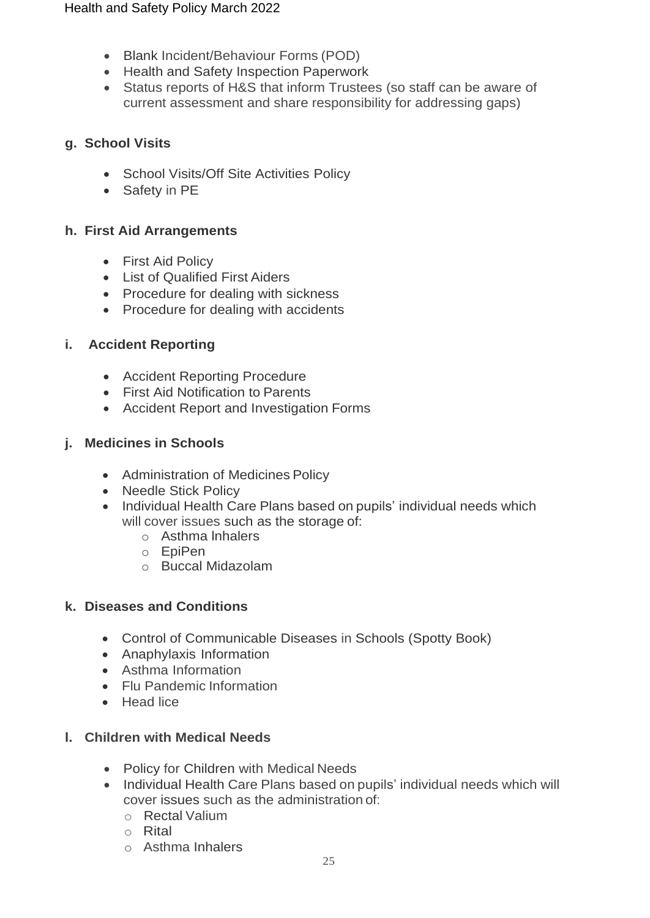- Blank Incident/Behaviour Forms (POD)
- Health and Safety Inspection Paperwork
- Status reports of H&S that inform Trustees (so staff can be aware of current assessment and share responsibility for addressing gaps)

#### **g. School Visits**

- School Visits/Off Site Activities Policy
- Safety in PE

#### **h. First Aid Arrangements**

- First Aid Policy
- List of Qualified First Aiders
- Procedure for dealing with sickness
- Procedure for dealing with accidents

#### **i. Accident Reporting**

- Accident Reporting Procedure
- First Aid Notification to Parents
- Accident Report and Investigation Forms

#### **j. Medicines in Schools**

- Administration of Medicines Policy
- Needle Stick Policy
- Individual Health Care Plans based on pupils' individual needs which will cover issues such as the storage of:
	- o Asthma lnhalers
	- o EpiPen
	- o Buccal Midazolam

#### **k. Diseases and Conditions**

- Control of Communicable Diseases in Schools (Spotty Book)
- Anaphylaxis Information
- Asthma Information
- Flu Pandemic Information
- Head lice

#### **l. Children with Medical Needs**

- Policy for Children with Medical Needs
- Individual Health Care Plans based on pupils' individual needs which will cover issues such as the administration of:
	- o Rectal Valium
	- o Rital
	- o Asthma Inhalers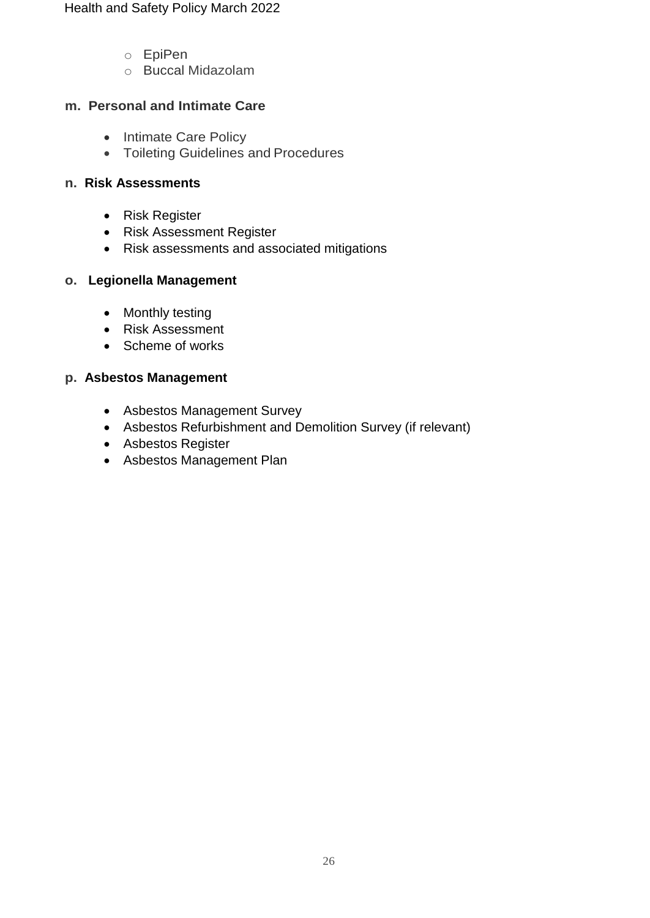#### Health and Safety Policy March 2022

- o EpiPen
- o Buccal Midazolam

#### **m. Personal and Intimate Care**

- Intimate Care Policy
- Toileting Guidelines and Procedures

#### **n. Risk Assessments**

- Risk Register
- Risk Assessment Register
- Risk assessments and associated mitigations

#### **o. Legionella Management**

- Monthly testing
- Risk Assessment
- Scheme of works

#### **p. Asbestos Management**

- Asbestos Management Survey
- Asbestos Refurbishment and Demolition Survey (if relevant)
- Asbestos Register
- Asbestos Management Plan